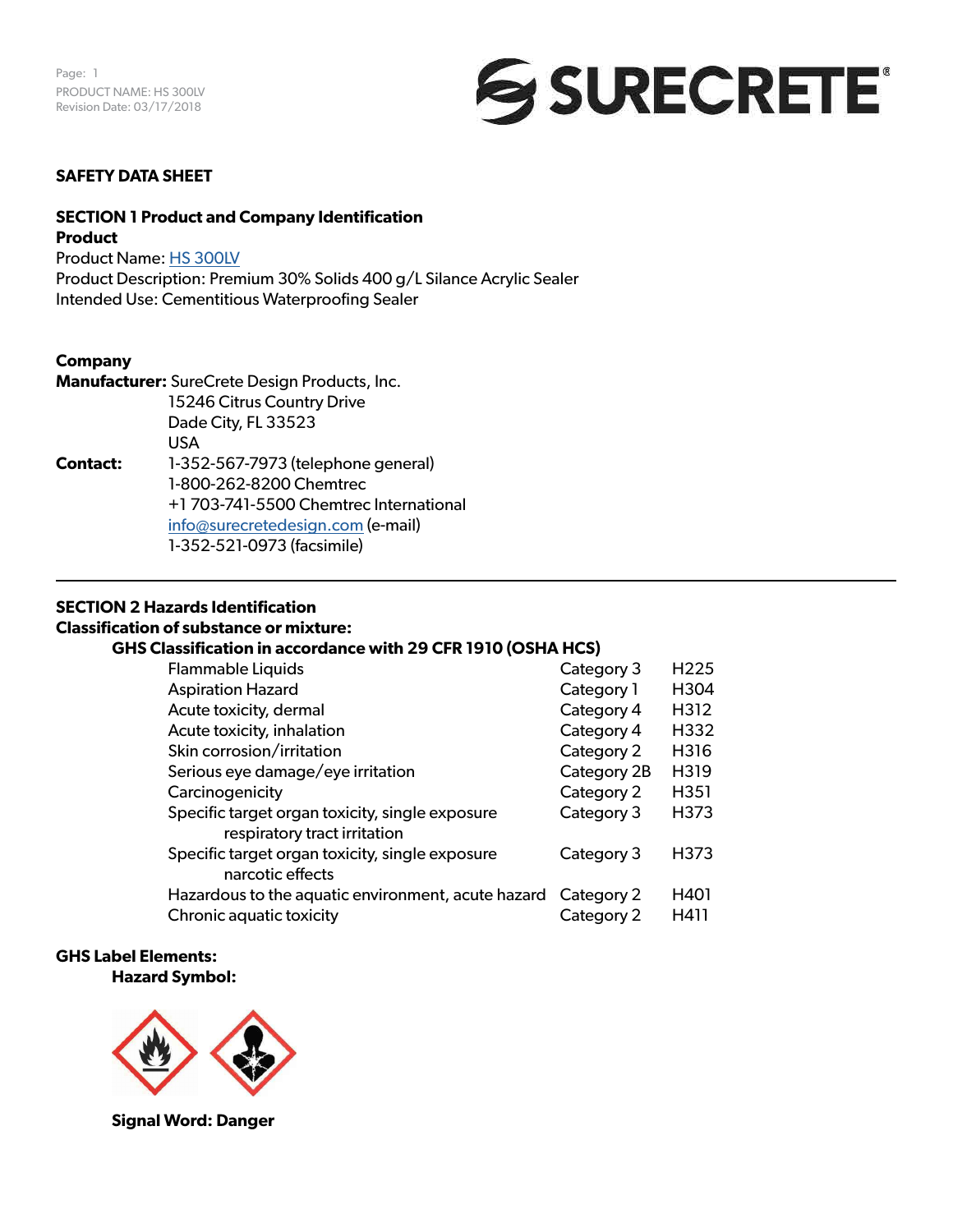

# **SAFETY DATA SHEET**

### **SECTION 1 Product and Company Identification Product**

Product Name: [HS 300LV](https://www.surecretedesign.com/product/overlay-outdoor-clear-sealer/)

Product Description: Premium 30% Solids 400 g/L Silance Acrylic Sealer Intended Use: Cementitious Waterproofing Sealer

### **Company**

|                 | <b>Manufacturer:</b> SureCrete Design Products, Inc. |
|-----------------|------------------------------------------------------|
|                 | 15246 Citrus Country Drive                           |
|                 | Dade City, FL 33523                                  |
|                 | USA                                                  |
| <b>Contact:</b> | 1-352-567-7973 (telephone general)                   |
|                 | 1-800-262-8200 Chemtrec                              |
|                 | +1 703-741-5500 Chemtrec International               |
|                 | info@surecretedesign.com (e-mail)                    |
|                 | 1-352-521-0973 (facsimile)                           |

# **SECTION 2 Hazards Identification**

# **Classification of substance or mixture:**

### **GHS Classification in accordance with 29 CFR 1910 (OSHA HCS)**

| <b>Flammable Liquids</b>                                                        | Category 3  | H <sub>225</sub> |
|---------------------------------------------------------------------------------|-------------|------------------|
| <b>Aspiration Hazard</b>                                                        | Category 1  | H304             |
| Acute toxicity, dermal                                                          | Category 4  | H312             |
| Acute toxicity, inhalation                                                      | Category 4  | H332             |
| Skin corrosion/irritation                                                       | Category 2  | H316             |
| Serious eye damage/eye irritation                                               | Category 2B | H319             |
| Carcinogenicity                                                                 | Category 2  | H351             |
| Specific target organ toxicity, single exposure<br>respiratory tract irritation | Category 3  | H373             |
| Specific target organ toxicity, single exposure<br>narcotic effects             | Category 3  | H373             |
| Hazardous to the aquatic environment, acute hazard                              | Category 2  | H401             |
| Chronic aquatic toxicity                                                        | Category 2  | H411             |

### **GHS Label Elements: Hazard Symbol:**



**Signal Word: Danger**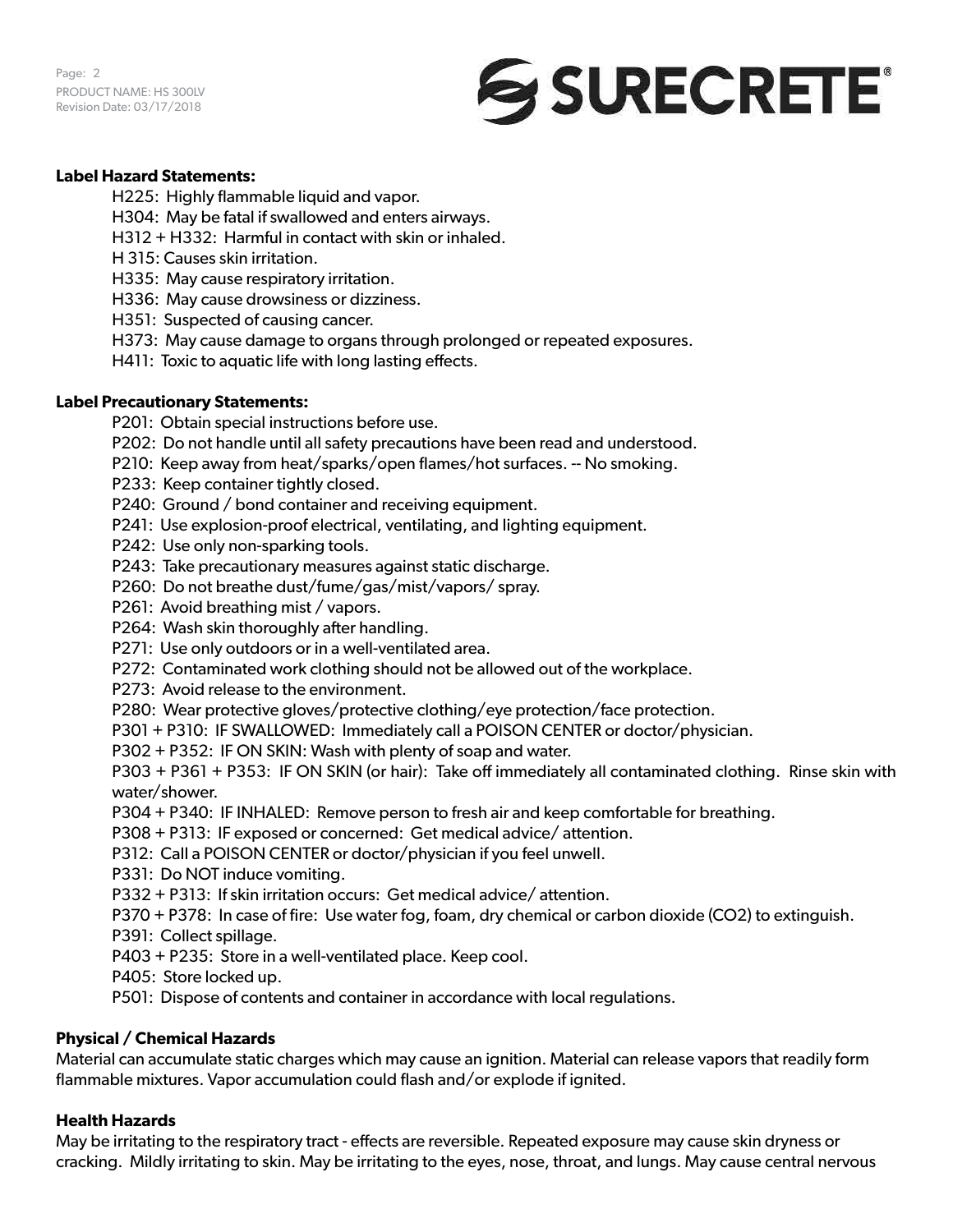Page: 2 PRODUCT NAME: HS 300LV Revision Date: 03/17/2018



# **Label Hazard Statements:**

H225: Highly flammable liquid and vapor.

- H304: May be fatal if swallowed and enters airways.
- H312 + H332: Harmful in contact with skin or inhaled.
- H 315: Causes skin irritation.
- H335: May cause respiratory irritation.
- H336: May cause drowsiness or dizziness.
- H351: Suspected of causing cancer.
- H373: May cause damage to organs through prolonged or repeated exposures.
- H411: Toxic to aquatic life with long lasting effects.

# **Label Precautionary Statements:**

- P201: Obtain special instructions before use.
- P202: Do not handle until all safety precautions have been read and understood.
- P210: Keep away from heat/sparks/open flames/hot surfaces. -- No smoking.
- P233: Keep container tightly closed.
- P240: Ground / bond container and receiving equipment.
- P241: Use explosion-proof electrical, ventilating, and lighting equipment.
- P242: Use only non-sparking tools.
- P243: Take precautionary measures against static discharge.
- P260: Do not breathe dust/fume/gas/mist/vapors/ spray.
- P261: Avoid breathing mist / vapors.
- P264: Wash skin thoroughly after handling.
- P271: Use only outdoors or in a well-ventilated area.
- P272: Contaminated work clothing should not be allowed out of the workplace.
- P273: Avoid release to the environment.
- P280: Wear protective gloves/protective clothing/eye protection/face protection.
- P301 + P310: IF SWALLOWED: Immediately call a POISON CENTER or doctor/physician.
- P302 + P352: IF ON SKIN: Wash with plenty of soap and water.

P303 + P361 + P353: IF ON SKIN (or hair): Take off immediately all contaminated clothing. Rinse skin with water/shower.

- P304 + P340: IF INHALED: Remove person to fresh air and keep comfortable for breathing.
- P308 + P313: IF exposed or concerned: Get medical advice/ attention.
- P312: Call a POISON CENTER or doctor/physician if you feel unwell.
- P331: Do NOT induce vomiting.
- P332 + P313: If skin irritation occurs: Get medical advice/ attention.
- P370 + P378: In case of fire: Use water fog, foam, dry chemical or carbon dioxide (CO2) to extinguish.
- P391: Collect spillage.
- P403 + P235: Store in a well-ventilated place. Keep cool.
- P405: Store locked up.
- P501: Dispose of contents and container in accordance with local regulations.

# **Physical / Chemical Hazards**

Material can accumulate static charges which may cause an ignition. Material can release vapors that readily form flammable mixtures. Vapor accumulation could flash and/or explode if ignited.

# **Health Hazards**

May be irritating to the respiratory tract - effects are reversible. Repeated exposure may cause skin dryness or cracking. Mildly irritating to skin. May be irritating to the eyes, nose, throat, and lungs. May cause central nervous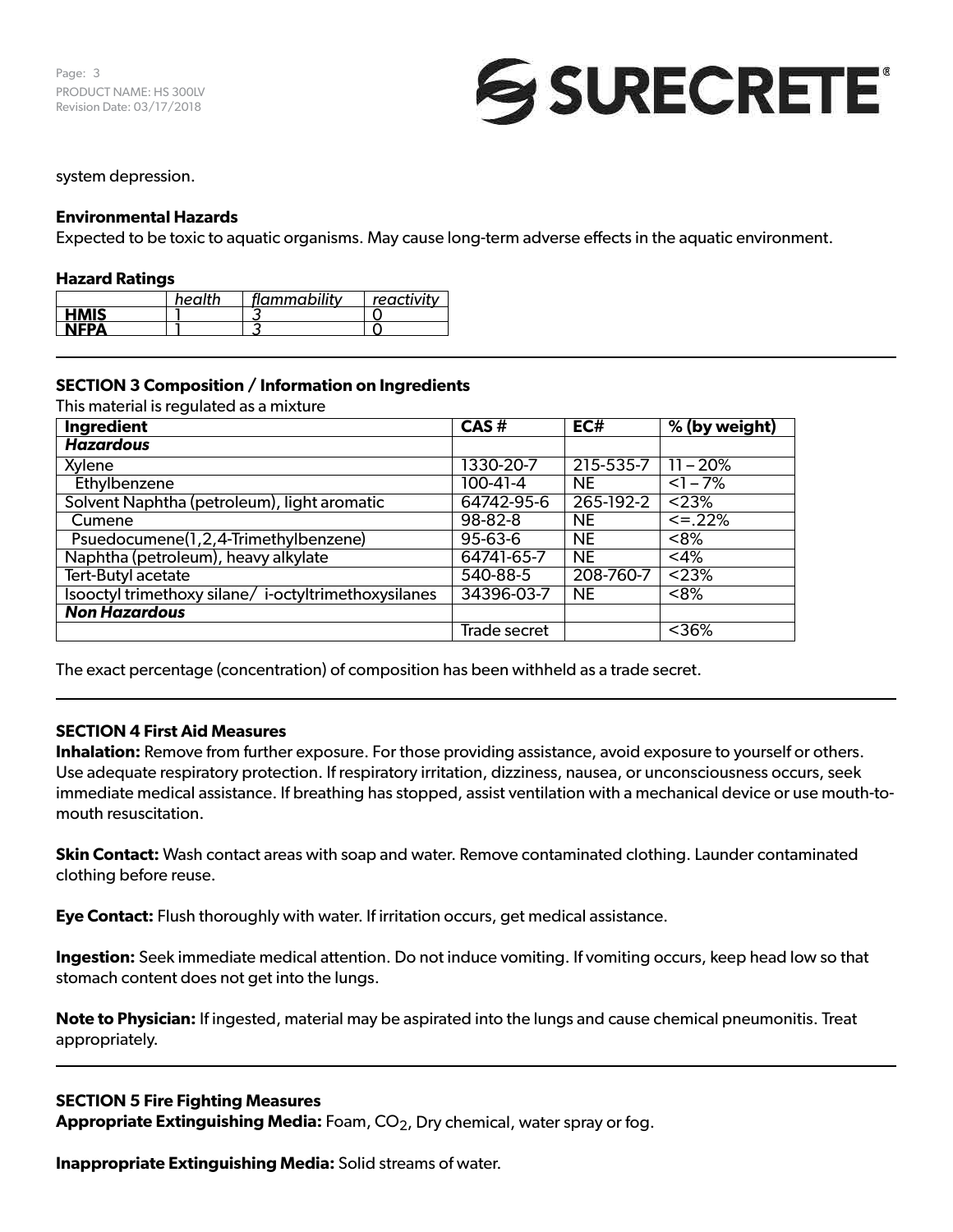

## system depression.

## **Environmental Hazards**

Expected to be toxic to aquatic organisms. May cause long-term adverse effects in the aquatic environment.

#### **Hazard Ratings**

|             | health | flammability | $+$ reactivity $-$ |
|-------------|--------|--------------|--------------------|
| <b>HMIS</b> |        |              |                    |
| NEDA        |        |              |                    |

## **SECTION 3 Composition / Information on Ingredients**

This material is regulated as a mixture

| Ingredient                                          | CAS#         | EC#       | % (by weight)  |
|-----------------------------------------------------|--------------|-----------|----------------|
| <b>Hazardous</b>                                    |              |           |                |
| Xylene                                              | 1330-20-7    | 215-535-7 | $11 - 20%$     |
| Ethylbenzene                                        | 100-41-4     | <b>NE</b> | $\sqrt{1-7\%}$ |
| Solvent Naphtha (petroleum), light aromatic         | 64742-95-6   | 265-192-2 | < 23%          |
| Cumene                                              | 98-82-8      | <b>NE</b> | $\leq$ = .22%  |
| Psuedocumene(1,2,4-Trimethylbenzene)                | 95-63-6      | <b>NE</b> | < 8%           |
| Naphtha (petroleum), heavy alkylate                 | 64741-65-7   | <b>NE</b> | $<$ 4%         |
| Tert-Butyl acetate                                  | 540-88-5     | 208-760-7 | < 23%          |
| Isooctyl trimethoxy silane/i-octyltrimethoxysilanes | 34396-03-7   | <b>NE</b> | <8%            |
| <b>Non Hazardous</b>                                |              |           |                |
|                                                     | Trade secret |           | < 36%          |

The exact percentage (concentration) of composition has been withheld as a trade secret.

### **SECTION 4 First Aid Measures**

**Inhalation:** Remove from further exposure. For those providing assistance, avoid exposure to yourself or others. Use adequate respiratory protection. If respiratory irritation, dizziness, nausea, or unconsciousness occurs, seek immediate medical assistance. If breathing has stopped, assist ventilation with a mechanical device or use mouth-tomouth resuscitation.

**Skin Contact:** Wash contact areas with soap and water. Remove contaminated clothing. Launder contaminated clothing before reuse.

**Eye Contact:** Flush thoroughly with water. If irritation occurs, get medical assistance.

**Ingestion:** Seek immediate medical attention. Do not induce vomiting. If vomiting occurs, keep head low so that stomach content does not get into the lungs.

**Note to Physician:** If ingested, material may be aspirated into the lungs and cause chemical pneumonitis. Treat appropriately.

## **SECTION 5 Fire Fighting Measures**

**Appropriate Extinguishing Media:** Foam, CO<sub>2</sub>, Dry chemical, water spray or fog.

**Inappropriate Extinguishing Media:** Solid streams of water.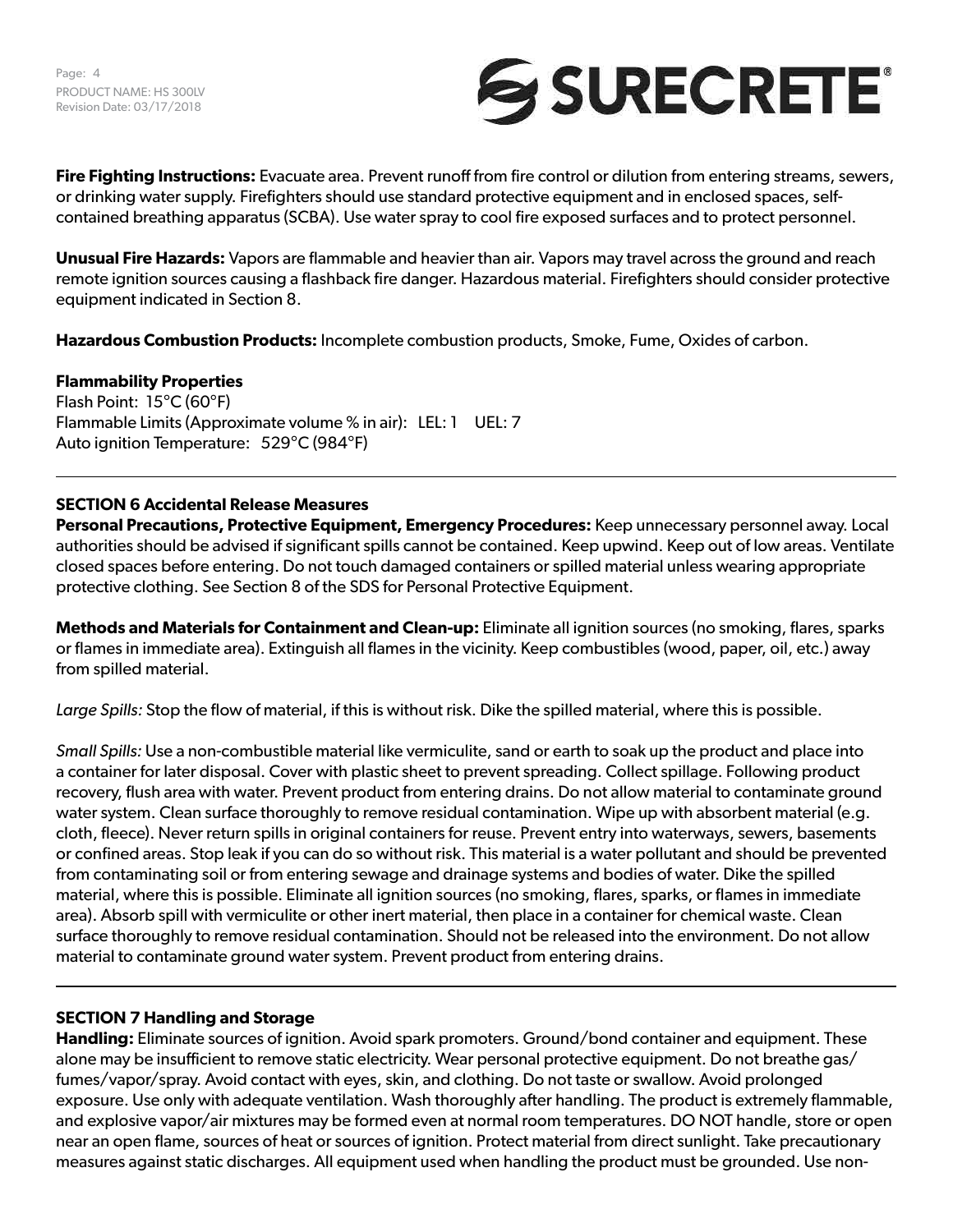Page: 4 PRODUCT NAME: HS 300LV Revision Date: 03/17/2018



**Fire Fighting Instructions:** Evacuate area. Prevent runoff from fire control or dilution from entering streams, sewers, or drinking water supply. Firefighters should use standard protective equipment and in enclosed spaces, selfcontained breathing apparatus (SCBA). Use water spray to cool fire exposed surfaces and to protect personnel.

**Unusual Fire Hazards:** Vapors are flammable and heavier than air. Vapors may travel across the ground and reach remote ignition sources causing a flashback fire danger. Hazardous material. Firefighters should consider protective equipment indicated in Section 8.

**Hazardous Combustion Products:** Incomplete combustion products, Smoke, Fume, Oxides of carbon.

## **Flammability Properties**

Flash Point: 15°C (60°F) Flammable Limits (Approximate volume % in air): LEL: 1 UEL: 7 Auto ignition Temperature: 529°C (984°F)

## **SECTION 6 Accidental Release Measures**

**Personal Precautions, Protective Equipment, Emergency Procedures:** Keep unnecessary personnel away. Local authorities should be advised if significant spills cannot be contained. Keep upwind. Keep out of low areas. Ventilate closed spaces before entering. Do not touch damaged containers or spilled material unless wearing appropriate protective clothing. See Section 8 of the SDS for Personal Protective Equipment.

**Methods and Materials for Containment and Clean-up:** Eliminate all ignition sources (no smoking, flares, sparks or flames in immediate area). Extinguish all flames in the vicinity. Keep combustibles (wood, paper, oil, etc.) away from spilled material.

*Large Spills:* Stop the flow of material, if this is without risk. Dike the spilled material, where this is possible.

*Small Spills:* Use a non-combustible material like vermiculite, sand or earth to soak up the product and place into a container for later disposal. Cover with plastic sheet to prevent spreading. Collect spillage. Following product recovery, flush area with water. Prevent product from entering drains. Do not allow material to contaminate ground water system. Clean surface thoroughly to remove residual contamination. Wipe up with absorbent material (e.g. cloth, fleece). Never return spills in original containers for reuse. Prevent entry into waterways, sewers, basements or confined areas. Stop leak if you can do so without risk. This material is a water pollutant and should be prevented from contaminating soil or from entering sewage and drainage systems and bodies of water. Dike the spilled material, where this is possible. Eliminate all ignition sources (no smoking, flares, sparks, or flames in immediate area). Absorb spill with vermiculite or other inert material, then place in a container for chemical waste. Clean surface thoroughly to remove residual contamination. Should not be released into the environment. Do not allow material to contaminate ground water system. Prevent product from entering drains.

### **SECTION 7 Handling and Storage**

**Handling:** Eliminate sources of ignition. Avoid spark promoters. Ground/bond container and equipment. These alone may be insufficient to remove static electricity. Wear personal protective equipment. Do not breathe gas/ fumes/vapor/spray. Avoid contact with eyes, skin, and clothing. Do not taste or swallow. Avoid prolonged exposure. Use only with adequate ventilation. Wash thoroughly after handling. The product is extremely flammable, and explosive vapor/air mixtures may be formed even at normal room temperatures. DO NOT handle, store or open near an open flame, sources of heat or sources of ignition. Protect material from direct sunlight. Take precautionary measures against static discharges. All equipment used when handling the product must be grounded. Use non-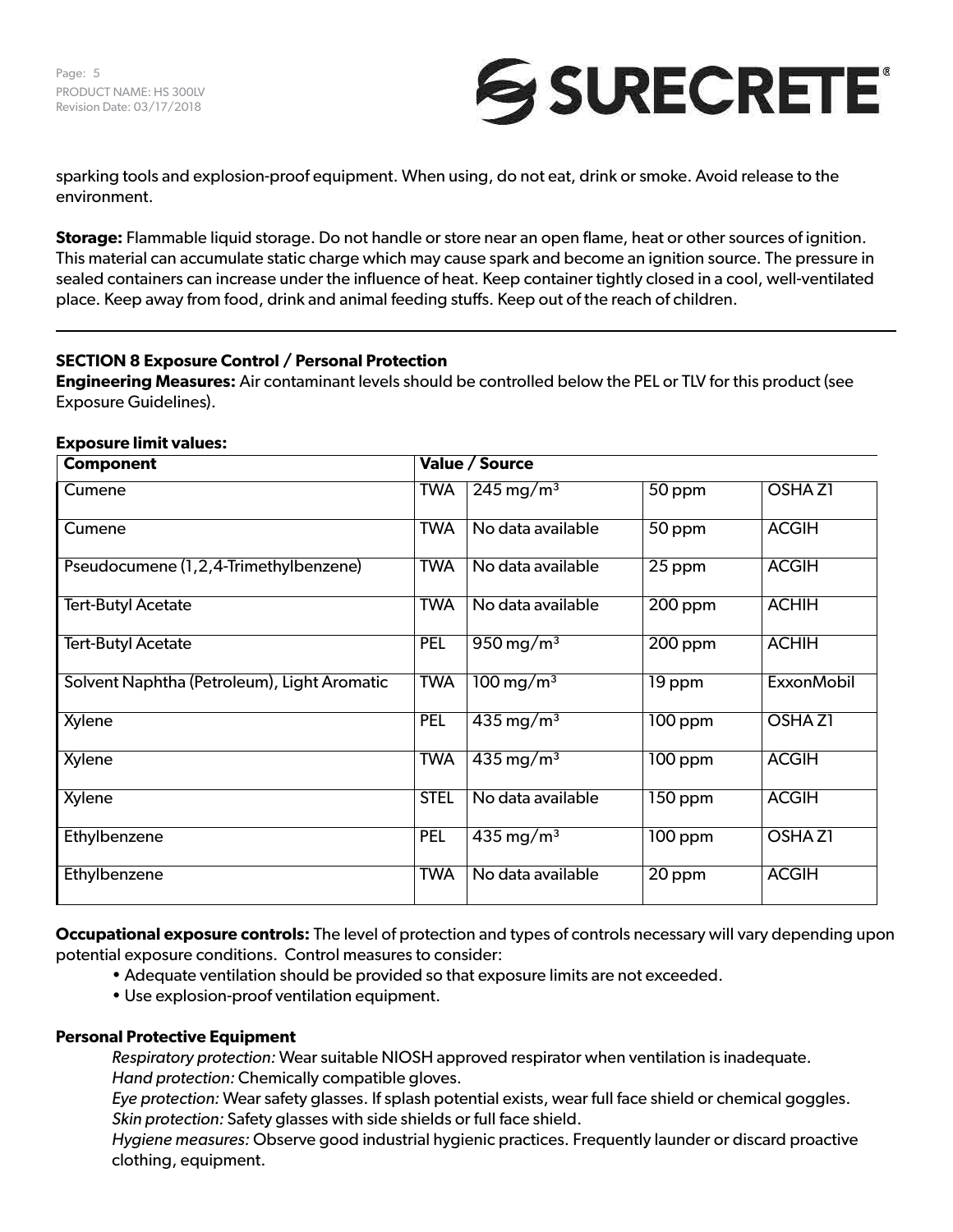

sparking tools and explosion-proof equipment. When using, do not eat, drink or smoke. Avoid release to the environment.

**Storage:** Flammable liquid storage. Do not handle or store near an open flame, heat or other sources of ignition. This material can accumulate static charge which may cause spark and become an ignition source. The pressure in sealed containers can increase under the influence of heat. Keep container tightly closed in a cool, well-ventilated place. Keep away from food, drink and animal feeding stuffs. Keep out of the reach of children.

# **SECTION 8 Exposure Control / Personal Protection**

**Engineering Measures:** Air contaminant levels should be controlled below the PEL or TLV for this product (see Exposure Guidelines).

| <b>Component</b>                            | Value / Source |                                |                      |                   |  |
|---------------------------------------------|----------------|--------------------------------|----------------------|-------------------|--|
| Cumene                                      | <b>TWA</b>     | $\sqrt{245}$ mg/m <sup>3</sup> | 50 ppm               | <b>OSHAZ1</b>     |  |
| Cumene                                      | <b>TWA</b>     | No data available              | 50 ppm               | <b>ACGIH</b>      |  |
| Pseudocumene (1,2,4-Trimethylbenzene)       | <b>TWA</b>     | No data available              | 25 ppm               | <b>ACGIH</b>      |  |
| <b>Tert-Butyl Acetate</b>                   | <b>TWA</b>     | No data available              | $200$ ppm            | <b>ACHIH</b>      |  |
| <b>Tert-Butyl Acetate</b>                   | PEL            | $950 \,\mathrm{mg/m^3}$        | $\overline{200}$ ppm | <b>ACHIH</b>      |  |
| Solvent Naphtha (Petroleum), Light Aromatic | <b>TWA</b>     | $100 \,\mathrm{mg/m^3}$        | 19 ppm               | <b>ExxonMobil</b> |  |
| Xylene                                      | PEL            | $435 \,\mathrm{mg/m^3}$        | $\overline{100}$ ppm | <b>OSHAZI</b>     |  |
| Xylene                                      | <b>TWA</b>     | $435 \,\mathrm{mg/m^3}$        | $100$ ppm            | <b>ACGIH</b>      |  |
| Xylene                                      | <b>STEL</b>    | No data available              | 150 ppm              | <b>ACGIH</b>      |  |
| Ethylbenzene                                | <b>PEL</b>     | $435 \,\mathrm{mg/m^3}$        | $100$ ppm            | <b>OSHAZI</b>     |  |
| Ethylbenzene                                | <b>TWA</b>     | No data available              | 20 ppm               | <b>ACGIH</b>      |  |

**Exposure limit values:**

**Occupational exposure controls:** The level of protection and types of controls necessary will vary depending upon potential exposure conditions. Control measures to consider:

- Adequate ventilation should be provided so that exposure limits are not exceeded.
- Use explosion-proof ventilation equipment.

# **Personal Protective Equipment**

*Respiratory protection:* Wear suitable NIOSH approved respirator when ventilation is inadequate. *Hand protection:* Chemically compatible gloves.

*Eye protection:* Wear safety glasses. If splash potential exists, wear full face shield or chemical goggles. *Skin protection:* Safety glasses with side shields or full face shield.

*Hygiene measures:* Observe good industrial hygienic practices. Frequently launder or discard proactive clothing, equipment.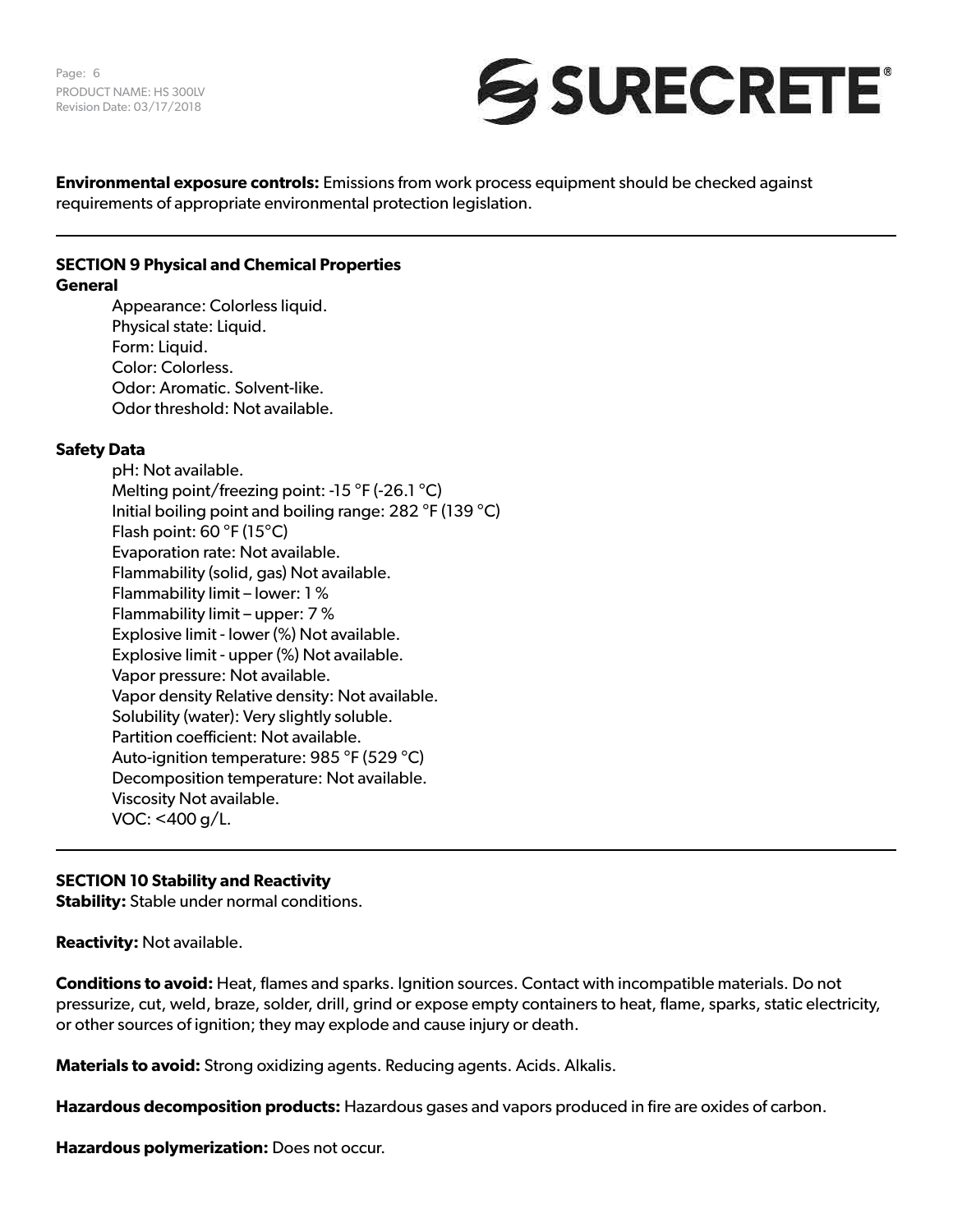

**Environmental exposure controls:** Emissions from work process equipment should be checked against requirements of appropriate environmental protection legislation.

## **SECTION 9 Physical and Chemical Properties General**

Appearance: Colorless liquid. Physical state: Liquid. Form: Liquid. Color: Colorless. Odor: Aromatic. Solvent-like. Odor threshold: Not available.

# **Safety Data**

pH: Not available. Melting point/freezing point: -15 °F (-26.1 °C) Initial boiling point and boiling range: 282 °F (139 °C) Flash point: 60 °F (15°C) Evaporation rate: Not available. Flammability (solid, gas) Not available. Flammability limit – lower: 1 % Flammability limit – upper: 7 % Explosive limit - lower (%) Not available. Explosive limit - upper (%) Not available. Vapor pressure: Not available. Vapor density Relative density: Not available. Solubility (water): Very slightly soluble. Partition coefficient: Not available. Auto-ignition temperature: 985 °F (529 °C) Decomposition temperature: Not available. Viscosity Not available. VOC: <400 g/L.

# **SECTION 10 Stability and Reactivity**

**Stability:** Stable under normal conditions.

**Reactivity:** Not available.

**Conditions to avoid:** Heat, flames and sparks. Ignition sources. Contact with incompatible materials. Do not pressurize, cut, weld, braze, solder, drill, grind or expose empty containers to heat, flame, sparks, static electricity, or other sources of ignition; they may explode and cause injury or death.

**Materials to avoid:** Strong oxidizing agents. Reducing agents. Acids. Alkalis.

**Hazardous decomposition products:** Hazardous gases and vapors produced in fire are oxides of carbon.

**Hazardous polymerization:** Does not occur.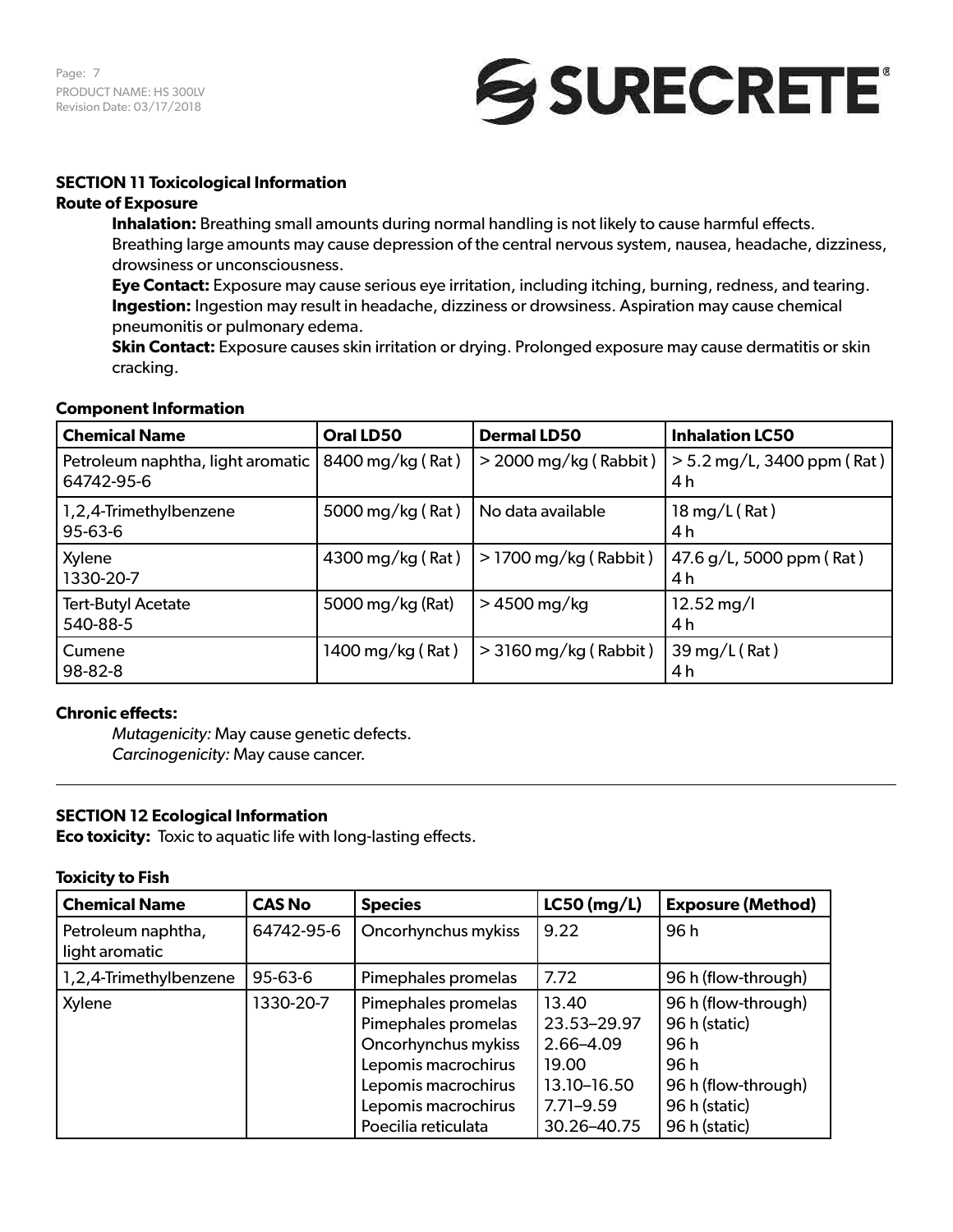Page: 7 PRODUCT NAME: HS 300LV Revision Date: 03/17/2018



# **SECTION 11 Toxicological Information**

## **Route of Exposure**

**Inhalation:** Breathing small amounts during normal handling is not likely to cause harmful effects. Breathing large amounts may cause depression of the central nervous system, nausea, headache, dizziness, drowsiness or unconsciousness.

**Eye Contact:** Exposure may cause serious eye irritation, including itching, burning, redness, and tearing. **Ingestion:** Ingestion may result in headache, dizziness or drowsiness. Aspiration may cause chemical pneumonitis or pulmonary edema.

**Skin Contact:** Exposure causes skin irritation or drying. Prolonged exposure may cause dermatitis or skin cracking.

### **Component Information**

| <b>Chemical Name</b>                                               | Oral LD50        | <b>Dermal LD50</b>      | <b>Inhalation LC50</b>              |
|--------------------------------------------------------------------|------------------|-------------------------|-------------------------------------|
| Petroleum naphtha, light aromatic   8400 mg/kg (Rat)<br>64742-95-6 |                  | $>$ 2000 mg/kg (Rabbit) | $> 5.2$ mg/L, 3400 ppm (Rat)<br>4 h |
| 1,2,4-Trimethylbenzene<br>95-63-6                                  | 5000 mg/kg (Rat) | No data available       | $18 \,\mathrm{mg/L}$ (Rat)<br>4 h   |
| Xylene<br>1330-20-7                                                | 4300 mg/kg (Rat) | $>$ 1700 mg/kg (Rabbit) | 47.6 g/L, 5000 ppm (Rat)<br>4 h     |
| <b>Tert-Butyl Acetate</b><br>540-88-5                              | 5000 mg/kg (Rat) | $>4500$ mg/kg           | $12.52 \,\mathrm{mg}/I$<br>4 h      |
| Cumene<br>98-82-8                                                  | 1400 mg/kg (Rat) | $>$ 3160 mg/kg (Rabbit) | 39 mg/L (Rat)<br>4 h                |

# **Chronic effects:**

*Mutagenicity:* May cause genetic defects. *Carcinogenicity:* May cause cancer.

# **SECTION 12 Ecological Information**

**Eco toxicity:** Toxic to aquatic life with long-lasting effects.

### **Toxicity to Fish**

| <b>Chemical Name</b>                 | <b>CAS No</b> | <b>Species</b>                                                                                                                                                | $LC50$ (mg/L)                                                                             | <b>Exposure (Method)</b>                                                                                      |
|--------------------------------------|---------------|---------------------------------------------------------------------------------------------------------------------------------------------------------------|-------------------------------------------------------------------------------------------|---------------------------------------------------------------------------------------------------------------|
| Petroleum naphtha,<br>light aromatic | 64742-95-6    | Oncorhynchus mykiss                                                                                                                                           | 9.22                                                                                      | 96h                                                                                                           |
| 1,2,4-Trimethylbenzene               | 95-63-6       | Pimephales promelas                                                                                                                                           | 7.72                                                                                      | 96 h (flow-through)                                                                                           |
| Xylene                               | 1330-20-7     | Pimephales promelas<br>Pimephales promelas<br>Oncorhynchus mykiss<br>Lepomis macrochirus<br>Lepomis macrochirus<br>Lepomis macrochirus<br>Poecilia reticulata | 13.40<br>23.53-29.97<br>2.66-4.09<br>19.00<br>13.10-16.50<br>$7.71 - 9.59$<br>30.26-40.75 | 96 h (flow-through)<br>96 h (static)<br>96 h<br>96 h<br>96 h (flow-through)<br>96 h (static)<br>96 h (static) |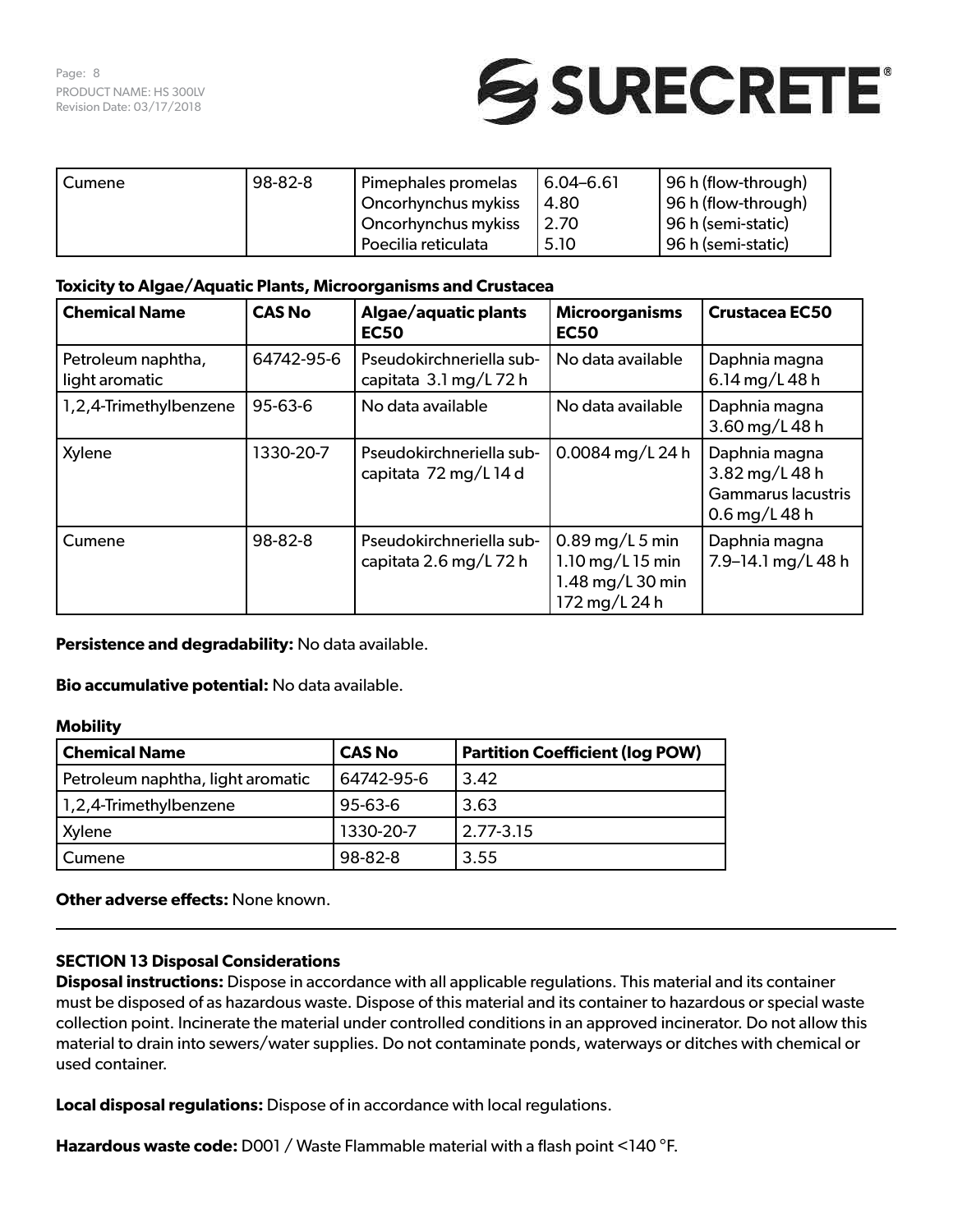

| Cumene | 98-82-8             | Pimephales promelas | $6.04 - 6.61$ | 96 h (flow-through)  |
|--------|---------------------|---------------------|---------------|----------------------|
|        |                     | Oncorhynchus mykiss | 4.80          | 96 h (flow-through)  |
|        | Oncorhynchus mykiss |                     | ່ 2.70        | 96 h (semi-static)   |
|        |                     | Poecilia reticulata | 5.10          | ! 96 h (semi-static) |

# **Toxicity to Algae/Aquatic Plants, Microorganisms and Crustacea**

| <b>Chemical Name</b>                 | <b>CAS No</b> | Algae/aquatic plants<br><b>EC50</b>                | <b>Microorganisms</b><br><b>EC50</b>                                         | <b>Crustacea EC50</b>                                                         |
|--------------------------------------|---------------|----------------------------------------------------|------------------------------------------------------------------------------|-------------------------------------------------------------------------------|
| Petroleum naphtha,<br>light aromatic | 64742-95-6    | Pseudokirchneriella sub-<br>capitata 3.1 mg/L 72 h | No data available                                                            | Daphnia magna<br>6.14 mg/L 48 h                                               |
| 1,2,4-Trimethylbenzene               | $95 - 63 - 6$ | No data available                                  | No data available                                                            | Daphnia magna<br>3.60 mg/L 48 h                                               |
| Xylene                               | 1330-20-7     | Pseudokirchneriella sub-<br>capitata 72 mg/L 14 d  | 0.0084 mg/L 24 h                                                             | Daphnia magna<br>3.82 mg/L 48 h<br><b>Gammarus lacustris</b><br>0.6 mg/L 48 h |
| Cumene                               | 98-82-8       | Pseudokirchneriella sub-<br>capitata 2.6 mg/L 72 h | $0.89$ mg/L 5 min<br>1.10 $mg/L$ 15 min<br>1.48 mg/L 30 min<br>172 mg/L 24 h | Daphnia magna<br>7.9-14.1 mg/L 48 h                                           |

**Persistence and degradability:** No data available.

**Bio accumulative potential:** No data available.

## **Mobility**

| <b>Chemical Name</b>              | <b>CAS No</b> | <b>Partition Coefficient (log POW)</b> |
|-----------------------------------|---------------|----------------------------------------|
| Petroleum naphtha, light aromatic | 64742-95-6    | 3.42                                   |
| 1,2,4-Trimethylbenzene            | $95 - 63 - 6$ | 3.63                                   |
| Xylene                            | 1330-20-7     | $2.77 - 3.15$                          |
| Cumene                            | 98-82-8       | 3.55                                   |

**Other adverse effects: None known.** 

# **SECTION 13 Disposal Considerations**

**Disposal instructions:** Dispose in accordance with all applicable regulations. This material and its container must be disposed of as hazardous waste. Dispose of this material and its container to hazardous or special waste collection point. Incinerate the material under controlled conditions in an approved incinerator. Do not allow this material to drain into sewers/water supplies. Do not contaminate ponds, waterways or ditches with chemical or used container.

**Local disposal regulations:** Dispose of in accordance with local regulations.

**Hazardous waste code:** D001 / Waste Flammable material with a flash point <140 °F.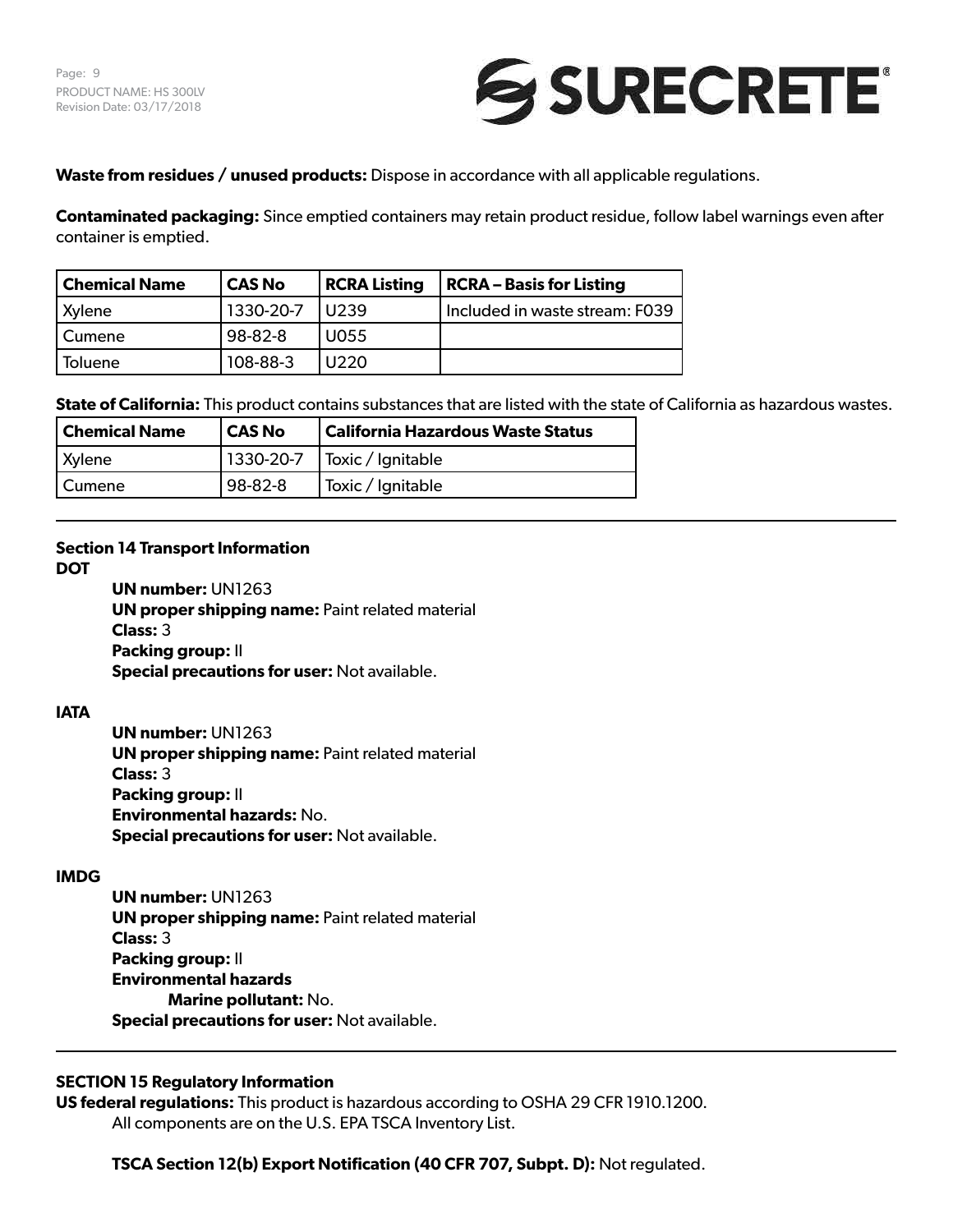

**Waste from residues / unused products:** Dispose in accordance with all applicable regulations.

**Contaminated packaging:** Since emptied containers may retain product residue, follow label warnings even after container is emptied.

| <b>Chemical Name</b> | <b>CAS No</b> | <b>RCRA Listing</b> | <b>RCRA - Basis for Listing</b>  |
|----------------------|---------------|---------------------|----------------------------------|
| <b>Xylene</b>        | 1330-20-7     | U <sub>239</sub>    | l Included in waste stream: F039 |
| Cumene               | 98-82-8       | U055                |                                  |
| Toluene              | 108-88-3      | U220                |                                  |

**State of California:** This product contains substances that are listed with the state of California as hazardous wastes.

| <b>Chemical Name</b> | l CAS No | <b>California Hazardous Waste Status</b> |
|----------------------|----------|------------------------------------------|
| Xylene               |          | 1330-20-7   Toxic / Ignitable            |
| Cumene               | 98-82-8  | Toxic / Ignitable                        |

# **Section 14 Transport Information**

**DOT**

**UN number:** UN1263 **UN proper shipping name:** Paint related material **Class:** 3 **Packing group:** II **Special precautions for user:** Not available.

# **IATA**

**UN number:** UN1263 **UN proper shipping name:** Paint related material **Class:** 3 **Packing group:** II **Environmental hazards:** No. **Special precautions for user:** Not available.

# **IMDG**

**UN number:** UN1263 **UN proper shipping name:** Paint related material **Class:** 3 **Packing group:** II **Environmental hazards Marine pollutant:** No. **Special precautions for user:** Not available.

# **SECTION 15 Regulatory Information**

**US federal regulations:** This product is hazardous according to OSHA 29 CFR 1910.1200. All components are on the U.S. EPA TSCA Inventory List.

**TSCA Section 12(b) Export Notification (40 CFR 707, Subpt. D):** Not regulated.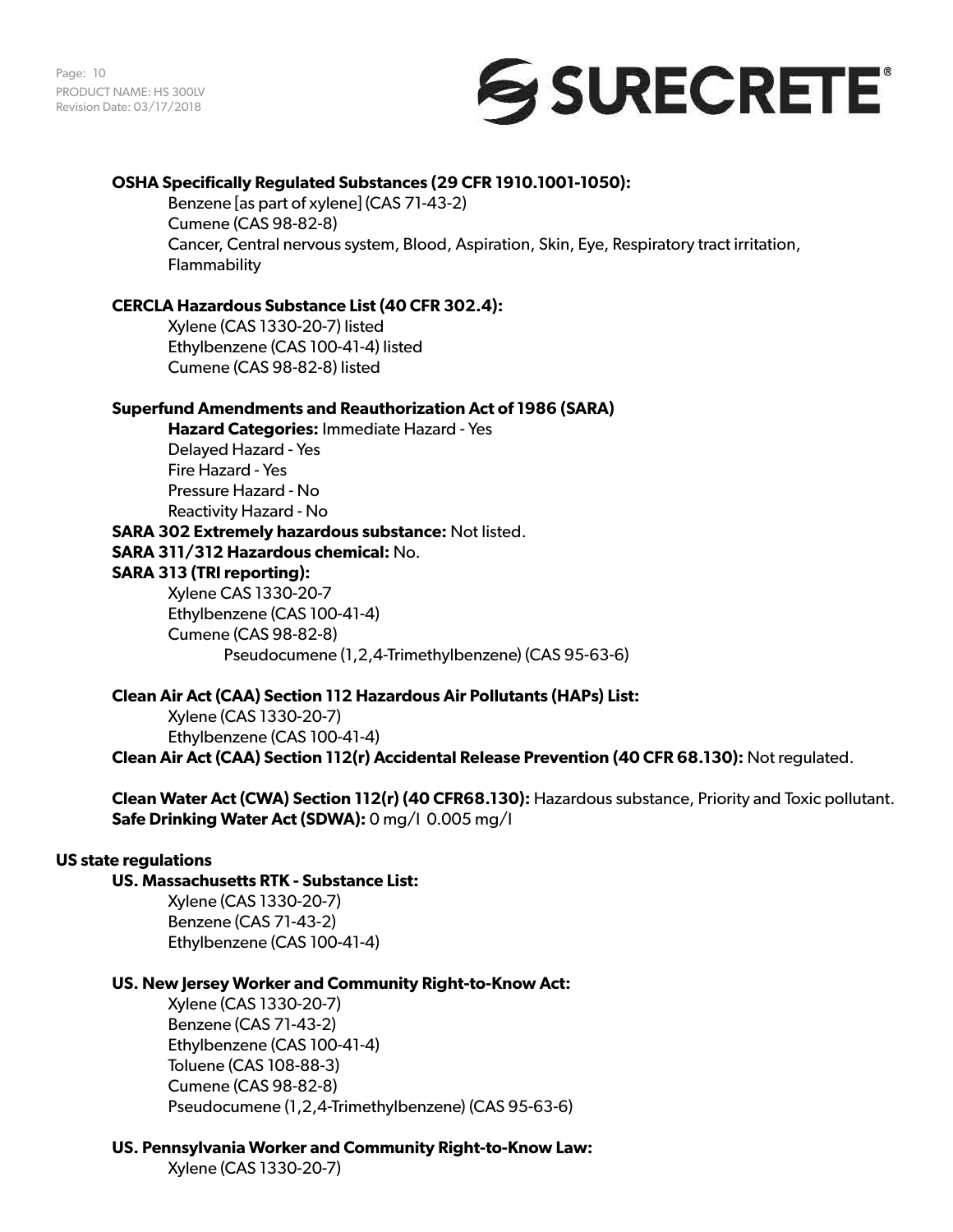

# **OSHA Specifically Regulated Substances (29 CFR 1910.1001-1050):**

Benzene [as part of xylene] (CAS 71-43-2) Cumene (CAS 98-82-8) Cancer, Central nervous system, Blood, Aspiration, Skin, Eye, Respiratory tract irritation, **Flammability** 

#### **CERCLA Hazardous Substance List (40 CFR 302.4):**

Xylene (CAS 1330-20-7) listed Ethylbenzene (CAS 100-41-4) listed Cumene (CAS 98-82-8) listed

#### **Superfund Amendments and Reauthorization Act of 1986 (SARA)**

**Hazard Categories:** Immediate Hazard - Yes Delayed Hazard - Yes Fire Hazard - Yes Pressure Hazard - No Reactivity Hazard - No **SARA 302 Extremely hazardous substance:** Not listed.

**SARA 311/312 Hazardous chemical:** No. **SARA 313 (TRI reporting):** Xylene CAS 1330-20-7

Ethylbenzene (CAS 100-41-4) Cumene (CAS 98-82-8) Pseudocumene (1,2,4-Trimethylbenzene) (CAS 95-63-6)

### **Clean Air Act (CAA) Section 112 Hazardous Air Pollutants (HAPs) List:**

Xylene (CAS 1330-20-7) Ethylbenzene (CAS 100-41-4) **Clean Air Act (CAA) Section 112(r) Accidental Release Prevention (40 CFR 68.130):** Not regulated.

**Clean Water Act (CWA) Section 112(r) (40 CFR68.130):** Hazardous substance, Priority and Toxic pollutant. **Safe Drinking Water Act (SDWA):** 0 mg/l 0.005 mg/l

## **US state regulations**

## **US. Massachusetts RTK - Substance List:**

Xylene (CAS 1330-20-7) Benzene (CAS 71-43-2) Ethylbenzene (CAS 100-41-4)

# **US. New Jersey Worker and Community Right-to-Know Act:**

Xylene (CAS 1330-20-7) Benzene (CAS 71-43-2) Ethylbenzene (CAS 100-41-4) Toluene (CAS 108-88-3) Cumene (CAS 98-82-8) Pseudocumene (1,2,4-Trimethylbenzene) (CAS 95-63-6)

# **US. Pennsylvania Worker and Community Right-to-Know Law:**

Xylene (CAS 1330-20-7)